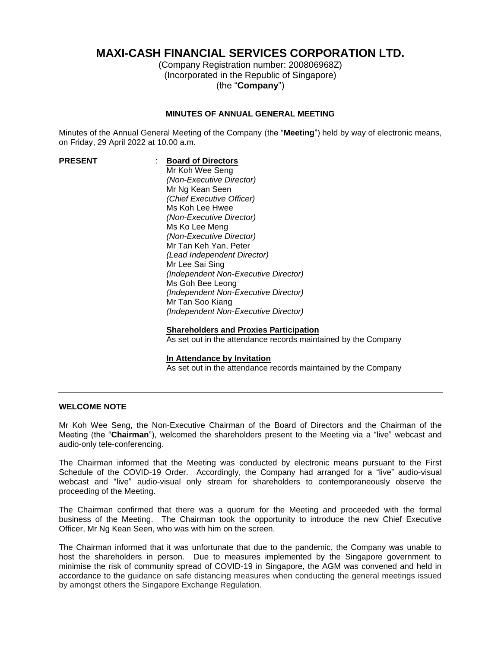# **MAXI-CASH FINANCIAL SERVICES CORPORATION LTD.**

(Company Registration number: 200806968Z) (Incorporated in the Republic of Singapore) (the "**Company**")

#### **MINUTES OF ANNUAL GENERAL MEETING**

Minutes of the Annual General Meeting of the Company (the "**Meeting**") held by way of electronic means, on Friday, 29 April 2022 at 10.00 a.m.

## **PRESENT** : **Board of Directors**

Mr Koh Wee Seng *(Non-Executive Director)* Mr Ng Kean Seen *(Chief Executive Officer)* Ms Koh Lee Hwee *(Non-Executive Director)* Ms Ko Lee Meng *(Non-Executive Director)* Mr Tan Keh Yan, Peter *(Lead Independent Director)* Mr Lee Sai Sing *(Independent Non-Executive Director)* Ms Goh Bee Leong *(Independent Non-Executive Director)* Mr Tan Soo Kiang *(Independent Non-Executive Director)*

#### **Shareholders and Proxies Participation**

As set out in the attendance records maintained by the Company

#### **In Attendance by Invitation**

As set out in the attendance records maintained by the Company

#### **WELCOME NOTE**

Mr Koh Wee Seng, the Non-Executive Chairman of the Board of Directors and the Chairman of the Meeting (the "**Chairman**"), welcomed the shareholders present to the Meeting via a "live" webcast and audio-only tele-conferencing.

The Chairman informed that the Meeting was conducted by electronic means pursuant to the First Schedule of the COVID-19 Order. Accordingly, the Company had arranged for a "live" audio-visual webcast and "live" audio-visual only stream for shareholders to contemporaneously observe the proceeding of the Meeting.

The Chairman confirmed that there was a quorum for the Meeting and proceeded with the formal business of the Meeting. The Chairman took the opportunity to introduce the new Chief Executive Officer, Mr Ng Kean Seen, who was with him on the screen.

The Chairman informed that it was unfortunate that due to the pandemic, the Company was unable to host the shareholders in person. Due to measures implemented by the Singapore government to minimise the risk of community spread of COVID-19 in Singapore, the AGM was convened and held in accordance to the guidance on safe distancing measures when conducting the general meetings issued by amongst others the Singapore Exchange Regulation.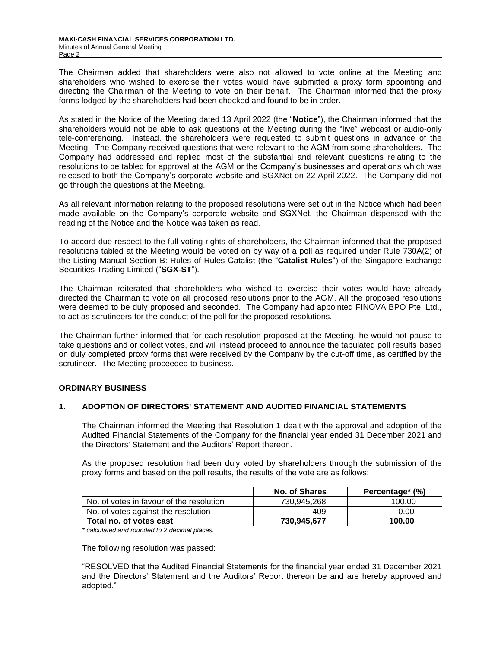The Chairman added that shareholders were also not allowed to vote online at the Meeting and shareholders who wished to exercise their votes would have submitted a proxy form appointing and directing the Chairman of the Meeting to vote on their behalf. The Chairman informed that the proxy forms lodged by the shareholders had been checked and found to be in order.

As stated in the Notice of the Meeting dated 13 April 2022 (the "**Notice**"), the Chairman informed that the shareholders would not be able to ask questions at the Meeting during the "live" webcast or audio-only tele-conferencing. Instead, the shareholders were requested to submit questions in advance of the Meeting. The Company received questions that were relevant to the AGM from some shareholders. The Company had addressed and replied most of the substantial and relevant questions relating to the resolutions to be tabled for approval at the AGM or the Company's businesses and operations which was released to both the Company's corporate website and SGXNet on 22 April 2022. The Company did not go through the questions at the Meeting.

As all relevant information relating to the proposed resolutions were set out in the Notice which had been made available on the Company's corporate website and SGXNet, the Chairman dispensed with the reading of the Notice and the Notice was taken as read.

To accord due respect to the full voting rights of shareholders, the Chairman informed that the proposed resolutions tabled at the Meeting would be voted on by way of a poll as required under Rule 730A(2) of the Listing Manual Section B: Rules of Rules Catalist (the "**Catalist Rules**") of the Singapore Exchange Securities Trading Limited ("**SGX-ST**").

The Chairman reiterated that shareholders who wished to exercise their votes would have already directed the Chairman to vote on all proposed resolutions prior to the AGM. All the proposed resolutions were deemed to be duly proposed and seconded. The Company had appointed FINOVA BPO Pte. Ltd., to act as scrutineers for the conduct of the poll for the proposed resolutions.

The Chairman further informed that for each resolution proposed at the Meeting, he would not pause to take questions and or collect votes, and will instead proceed to announce the tabulated poll results based on duly completed proxy forms that were received by the Company by the cut-off time, as certified by the scrutineer. The Meeting proceeded to business.

#### **ORDINARY BUSINESS**

#### **1. ADOPTION OF DIRECTORS' STATEMENT AND AUDITED FINANCIAL STATEMENTS**

The Chairman informed the Meeting that Resolution 1 dealt with the approval and adoption of the Audited Financial Statements of the Company for the financial year ended 31 December 2021 and the Directors' Statement and the Auditors' Report thereon.

As the proposed resolution had been duly voted by shareholders through the submission of the proxy forms and based on the poll results, the results of the vote are as follows:

|                                          | <b>No. of Shares</b> | Percentage* (%) |
|------------------------------------------|----------------------|-----------------|
| No. of votes in favour of the resolution | 730,945,268          | 100.00          |
| No. of votes against the resolution      | 409                  | 0.00            |
| Total no. of votes cast                  | 730,945,677          | 100.00          |

*\* calculated and rounded to 2 decimal places.*

The following resolution was passed:

"RESOLVED that the Audited Financial Statements for the financial year ended 31 December 2021 and the Directors' Statement and the Auditors' Report thereon be and are hereby approved and adopted."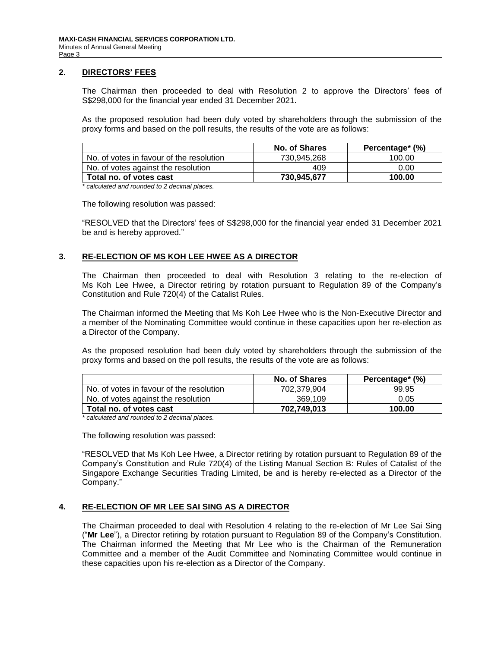#### **2. DIRECTORS' FEES**

The Chairman then proceeded to deal with Resolution 2 to approve the Directors' fees of S\$298,000 for the financial year ended 31 December 2021.

As the proposed resolution had been duly voted by shareholders through the submission of the proxy forms and based on the poll results, the results of the vote are as follows:

|                                          | <b>No. of Shares</b> | Percentage* (%) |
|------------------------------------------|----------------------|-----------------|
| No. of votes in favour of the resolution | 730,945,268          | 100.00          |
| No. of votes against the resolution      | 409                  | 0.00            |
| Total no. of votes cast                  | 730,945,677          | 100.00          |

*\* calculated and rounded to 2 decimal places.*

The following resolution was passed:

"RESOLVED that the Directors' fees of S\$298,000 for the financial year ended 31 December 2021 be and is hereby approved."

#### **3. RE-ELECTION OF MS KOH LEE HWEE AS A DIRECTOR**

The Chairman then proceeded to deal with Resolution 3 relating to the re-election of Ms Koh Lee Hwee, a Director retiring by rotation pursuant to Regulation 89 of the Company's Constitution and Rule 720(4) of the Catalist Rules.

The Chairman informed the Meeting that Ms Koh Lee Hwee who is the Non-Executive Director and a member of the Nominating Committee would continue in these capacities upon her re-election as a Director of the Company.

As the proposed resolution had been duly voted by shareholders through the submission of the proxy forms and based on the poll results, the results of the vote are as follows:

|                                          | <b>No. of Shares</b> | Percentage* (%) |
|------------------------------------------|----------------------|-----------------|
| No. of votes in favour of the resolution | 702.379.904          | 99.95           |
| No. of votes against the resolution      | 369.109              | 0.05            |
| Total no. of votes cast                  | 702,749,013          | 100.00          |

*\* calculated and rounded to 2 decimal places.*

The following resolution was passed:

"RESOLVED that Ms Koh Lee Hwee, a Director retiring by rotation pursuant to Regulation 89 of the Company's Constitution and Rule 720(4) of the Listing Manual Section B: Rules of Catalist of the Singapore Exchange Securities Trading Limited, be and is hereby re-elected as a Director of the Company."

#### **4. RE-ELECTION OF MR LEE SAI SING AS A DIRECTOR**

The Chairman proceeded to deal with Resolution 4 relating to the re-election of Mr Lee Sai Sing ("**Mr Lee**"), a Director retiring by rotation pursuant to Regulation 89 of the Company's Constitution. The Chairman informed the Meeting that Mr Lee who is the Chairman of the Remuneration Committee and a member of the Audit Committee and Nominating Committee would continue in these capacities upon his re-election as a Director of the Company.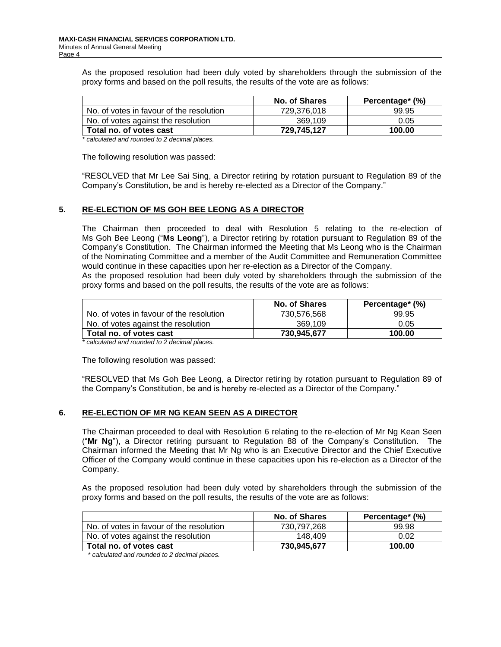As the proposed resolution had been duly voted by shareholders through the submission of the proxy forms and based on the poll results, the results of the vote are as follows:

| No. of Shares | Percentage* (%) |
|---------------|-----------------|
| 729,376,018   | 99.95           |
| 369.109       | 0.05            |
| 729.745.127   | 100.00          |
|               |                 |

*\* calculated and rounded to 2 decimal places.*

The following resolution was passed:

"RESOLVED that Mr Lee Sai Sing, a Director retiring by rotation pursuant to Regulation 89 of the Company's Constitution, be and is hereby re-elected as a Director of the Company."

#### **5. RE-ELECTION OF MS GOH BEE LEONG AS A DIRECTOR**

The Chairman then proceeded to deal with Resolution 5 relating to the re-election of Ms Goh Bee Leong ("**Ms Leong**"), a Director retiring by rotation pursuant to Regulation 89 of the Company's Constitution. The Chairman informed the Meeting that Ms Leong who is the Chairman of the Nominating Committee and a member of the Audit Committee and Remuneration Committee would continue in these capacities upon her re-election as a Director of the Company.

As the proposed resolution had been duly voted by shareholders through the submission of the proxy forms and based on the poll results, the results of the vote are as follows:

|                                          | <b>No. of Shares</b> | Percentage* (%) |
|------------------------------------------|----------------------|-----------------|
| No. of votes in favour of the resolution | 730.576.568          | 99.95           |
| No. of votes against the resolution      | 369.109              | 0.05            |
| Total no. of votes cast                  | 730,945,677          | 100.00          |

*\* calculated and rounded to 2 decimal places.*

The following resolution was passed:

"RESOLVED that Ms Goh Bee Leong, a Director retiring by rotation pursuant to Regulation 89 of the Company's Constitution, be and is hereby re-elected as a Director of the Company."

#### **6. RE-ELECTION OF MR NG KEAN SEEN AS A DIRECTOR**

The Chairman proceeded to deal with Resolution 6 relating to the re-election of Mr Ng Kean Seen ("**Mr Ng**"), a Director retiring pursuant to Regulation 88 of the Company's Constitution. The Chairman informed the Meeting that Mr Ng who is an Executive Director and the Chief Executive Officer of the Company would continue in these capacities upon his re-election as a Director of the Company.

As the proposed resolution had been duly voted by shareholders through the submission of the proxy forms and based on the poll results, the results of the vote are as follows:

|                                          | <b>No. of Shares</b> | Percentage* (%) |
|------------------------------------------|----------------------|-----------------|
| No. of votes in favour of the resolution | 730.797.268          | 99.98           |
| No. of votes against the resolution      | 148.409              | 0.02            |
| Total no. of votes cast                  | 730.945.677          | 100.00          |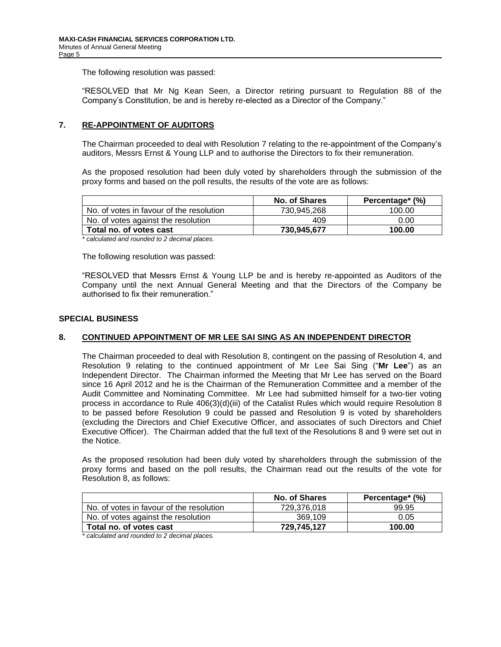"RESOLVED that Mr Ng Kean Seen, a Director retiring pursuant to Regulation 88 of the Company's Constitution, be and is hereby re-elected as a Director of the Company."

## **7. RE-APPOINTMENT OF AUDITORS**

The Chairman proceeded to deal with Resolution 7 relating to the re-appointment of the Company's auditors, Messrs Ernst & Young LLP and to authorise the Directors to fix their remuneration.

As the proposed resolution had been duly voted by shareholders through the submission of the proxy forms and based on the poll results, the results of the vote are as follows:

| No. of Shares | Percentage* (%) |
|---------------|-----------------|
| 730.945.268   | 100.00          |
| 409           | 0.00            |
| 730.945.677   | 100.00          |
|               |                 |

*\* calculated and rounded to 2 decimal places.*

The following resolution was passed:

"RESOLVED that Messrs Ernst & Young LLP be and is hereby re-appointed as Auditors of the Company until the next Annual General Meeting and that the Directors of the Company be authorised to fix their remuneration."

#### **SPECIAL BUSINESS**

## **8. CONTINUED APPOINTMENT OF MR LEE SAI SING AS AN INDEPENDENT DIRECTOR**

The Chairman proceeded to deal with Resolution 8, contingent on the passing of Resolution 4, and Resolution 9 relating to the continued appointment of Mr Lee Sai Sing ("**Mr Lee**") as an Independent Director. The Chairman informed the Meeting that Mr Lee has served on the Board since 16 April 2012 and he is the Chairman of the Remuneration Committee and a member of the Audit Committee and Nominating Committee. Mr Lee had submitted himself for a two-tier voting process in accordance to Rule 406(3)(d)(iii) of the Catalist Rules which would require Resolution 8 to be passed before Resolution 9 could be passed and Resolution 9 is voted by shareholders (excluding the Directors and Chief Executive Officer, and associates of such Directors and Chief Executive Officer). The Chairman added that the full text of the Resolutions 8 and 9 were set out in the Notice.

As the proposed resolution had been duly voted by shareholders through the submission of the proxy forms and based on the poll results, the Chairman read out the results of the vote for Resolution 8, as follows:

|                                          | <b>No. of Shares</b> | Percentage* (%) |
|------------------------------------------|----------------------|-----------------|
| No. of votes in favour of the resolution | 729.376.018          | 99.95           |
| No. of votes against the resolution      | 369.109              | 0.05            |
| Total no. of votes cast                  | 729.745.127          | 100.00          |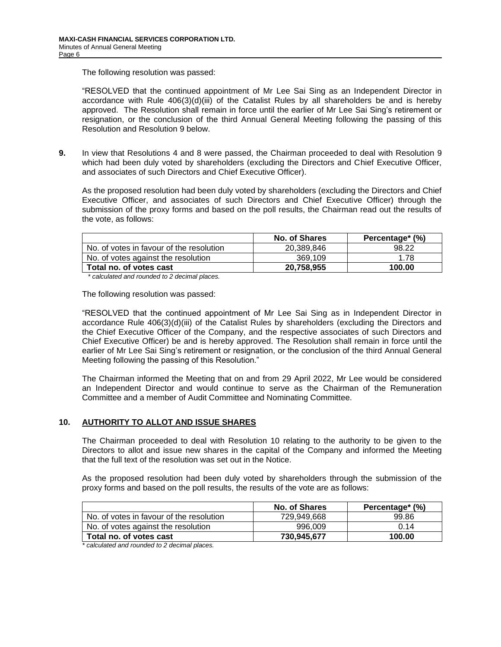"RESOLVED that the continued appointment of Mr Lee Sai Sing as an Independent Director in accordance with Rule  $406(3)(d)(iii)$  of the Catalist Rules by all shareholders be and is hereby approved. The Resolution shall remain in force until the earlier of Mr Lee Sai Sing's retirement or resignation, or the conclusion of the third Annual General Meeting following the passing of this Resolution and Resolution 9 below.

**9.** In view that Resolutions 4 and 8 were passed, the Chairman proceeded to deal with Resolution 9 which had been duly voted by shareholders (excluding the Directors and Chief Executive Officer, and associates of such Directors and Chief Executive Officer).

As the proposed resolution had been duly voted by shareholders (excluding the Directors and Chief Executive Officer, and associates of such Directors and Chief Executive Officer) through the submission of the proxy forms and based on the poll results, the Chairman read out the results of the vote, as follows:

|                                          | No. of Shares | Percentage* (%) |
|------------------------------------------|---------------|-----------------|
| No. of votes in favour of the resolution | 20.389.846    | 98.22           |
| No. of votes against the resolution      | 369.109       | 1.78            |
| Total no. of votes cast                  | 20,758,955    | 100.00          |

*\* calculated and rounded to 2 decimal places.*

The following resolution was passed:

"RESOLVED that the continued appointment of Mr Lee Sai Sing as in Independent Director in accordance Rule 406(3)(d)(iii) of the Catalist Rules by shareholders (excluding the Directors and the Chief Executive Officer of the Company, and the respective associates of such Directors and Chief Executive Officer) be and is hereby approved. The Resolution shall remain in force until the earlier of Mr Lee Sai Sing's retirement or resignation, or the conclusion of the third Annual General Meeting following the passing of this Resolution."

The Chairman informed the Meeting that on and from 29 April 2022, Mr Lee would be considered an Independent Director and would continue to serve as the Chairman of the Remuneration Committee and a member of Audit Committee and Nominating Committee.

## **10. AUTHORITY TO ALLOT AND ISSUE SHARES**

The Chairman proceeded to deal with Resolution 10 relating to the authority to be given to the Directors to allot and issue new shares in the capital of the Company and informed the Meeting that the full text of the resolution was set out in the Notice.

As the proposed resolution had been duly voted by shareholders through the submission of the proxy forms and based on the poll results, the results of the vote are as follows:

|                                          | No. of Shares | Percentage* (%) |
|------------------------------------------|---------------|-----------------|
| No. of votes in favour of the resolution | 729.949.668   | 99.86           |
| No. of votes against the resolution      | 996.009       | 0.14            |
| Total no. of votes cast                  | 730.945.677   | 100.00          |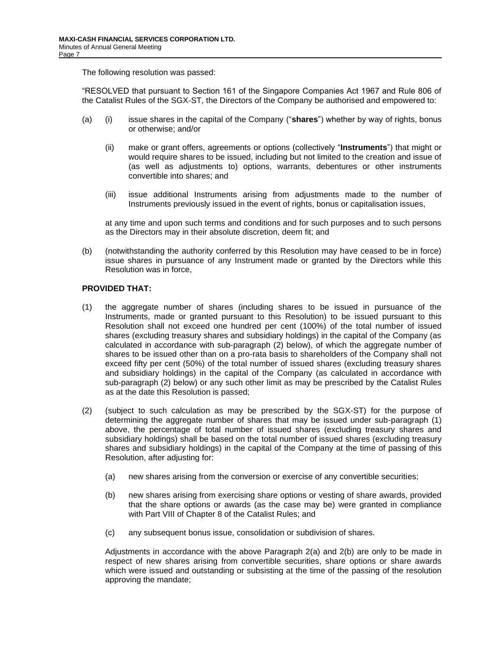"RESOLVED that pursuant to Section 161 of the Singapore Companies Act 1967 and Rule 806 of the Catalist Rules of the SGX-ST, the Directors of the Company be authorised and empowered to:

- (a) (i) issue shares in the capital of the Company ("**shares**") whether by way of rights, bonus or otherwise; and/or
	- (ii) make or grant offers, agreements or options (collectively "**Instruments**") that might or would require shares to be issued, including but not limited to the creation and issue of (as well as adjustments to) options, warrants, debentures or other instruments convertible into shares; and
	- (iii) issue additional Instruments arising from adjustments made to the number of Instruments previously issued in the event of rights, bonus or capitalisation issues,

at any time and upon such terms and conditions and for such purposes and to such persons as the Directors may in their absolute discretion, deem fit; and

(b) (notwithstanding the authority conferred by this Resolution may have ceased to be in force) issue shares in pursuance of any Instrument made or granted by the Directors while this Resolution was in force,

## **PROVIDED THAT:**

- (1) the aggregate number of shares (including shares to be issued in pursuance of the Instruments, made or granted pursuant to this Resolution) to be issued pursuant to this Resolution shall not exceed one hundred per cent (100%) of the total number of issued shares (excluding treasury shares and subsidiary holdings) in the capital of the Company (as calculated in accordance with sub-paragraph (2) below), of which the aggregate number of shares to be issued other than on a pro-rata basis to shareholders of the Company shall not exceed fifty per cent (50%) of the total number of issued shares (excluding treasury shares and subsidiary holdings) in the capital of the Company (as calculated in accordance with sub-paragraph (2) below) or any such other limit as may be prescribed by the Catalist Rules as at the date this Resolution is passed;
- (2) (subject to such calculation as may be prescribed by the SGX-ST) for the purpose of determining the aggregate number of shares that may be issued under sub-paragraph (1) above, the percentage of total number of issued shares (excluding treasury shares and subsidiary holdings) shall be based on the total number of issued shares (excluding treasury shares and subsidiary holdings) in the capital of the Company at the time of passing of this Resolution, after adjusting for:
	- (a) new shares arising from the conversion or exercise of any convertible securities;
	- (b) new shares arising from exercising share options or vesting of share awards, provided that the share options or awards (as the case may be) were granted in compliance with Part VIII of Chapter 8 of the Catalist Rules; and
	- (c) any subsequent bonus issue, consolidation or subdivision of shares.

Adjustments in accordance with the above Paragraph 2(a) and 2(b) are only to be made in respect of new shares arising from convertible securities, share options or share awards which were issued and outstanding or subsisting at the time of the passing of the resolution approving the mandate;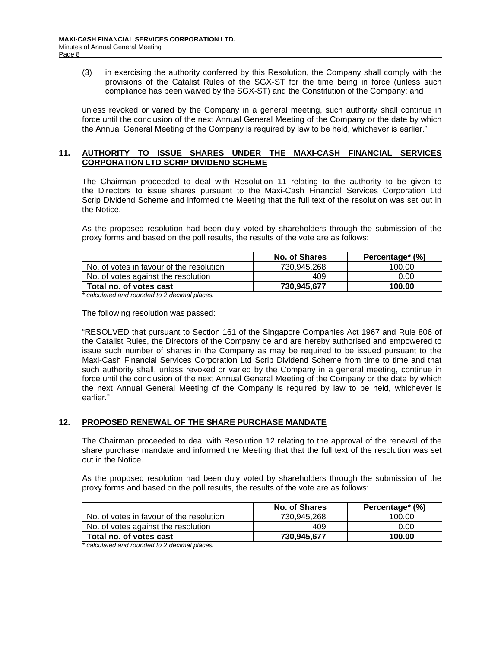(3) in exercising the authority conferred by this Resolution, the Company shall comply with the provisions of the Catalist Rules of the SGX-ST for the time being in force (unless such compliance has been waived by the SGX-ST) and the Constitution of the Company; and

unless revoked or varied by the Company in a general meeting, such authority shall continue in force until the conclusion of the next Annual General Meeting of the Company or the date by which the Annual General Meeting of the Company is required by law to be held, whichever is earlier."

#### **11. AUTHORITY TO ISSUE SHARES UNDER THE MAXI-CASH FINANCIAL SERVICES CORPORATION LTD SCRIP DIVIDEND SCHEME**

The Chairman proceeded to deal with Resolution 11 relating to the authority to be given to the Directors to issue shares pursuant to the Maxi-Cash Financial Services Corporation Ltd Scrip Dividend Scheme and informed the Meeting that the full text of the resolution was set out in the Notice.

As the proposed resolution had been duly voted by shareholders through the submission of the proxy forms and based on the poll results, the results of the vote are as follows:

|                                          | No. of Shares | Percentage* (%) |
|------------------------------------------|---------------|-----------------|
| No. of votes in favour of the resolution | 730.945.268   | 100.00          |
| No. of votes against the resolution      | 409           | 0.00            |
| Total no. of votes cast                  | 730.945.677   | 100.00          |

*\* calculated and rounded to 2 decimal places.*

The following resolution was passed:

"RESOLVED that pursuant to Section 161 of the Singapore Companies Act 1967 and Rule 806 of the Catalist Rules, the Directors of the Company be and are hereby authorised and empowered to issue such number of shares in the Company as may be required to be issued pursuant to the Maxi-Cash Financial Services Corporation Ltd Scrip Dividend Scheme from time to time and that such authority shall, unless revoked or varied by the Company in a general meeting, continue in force until the conclusion of the next Annual General Meeting of the Company or the date by which the next Annual General Meeting of the Company is required by law to be held, whichever is earlier."

## **12. PROPOSED RENEWAL OF THE SHARE PURCHASE MANDATE**

The Chairman proceeded to deal with Resolution 12 relating to the approval of the renewal of the share purchase mandate and informed the Meeting that that the full text of the resolution was set out in the Notice.

As the proposed resolution had been duly voted by shareholders through the submission of the proxy forms and based on the poll results, the results of the vote are as follows:

|                                          | No. of Shares | Percentage* (%) |
|------------------------------------------|---------------|-----------------|
| No. of votes in favour of the resolution | 730.945.268   | 100.00          |
| No. of votes against the resolution      | 409           | 0.00            |
| Total no. of votes cast                  | 730.945.677   | 100.00          |